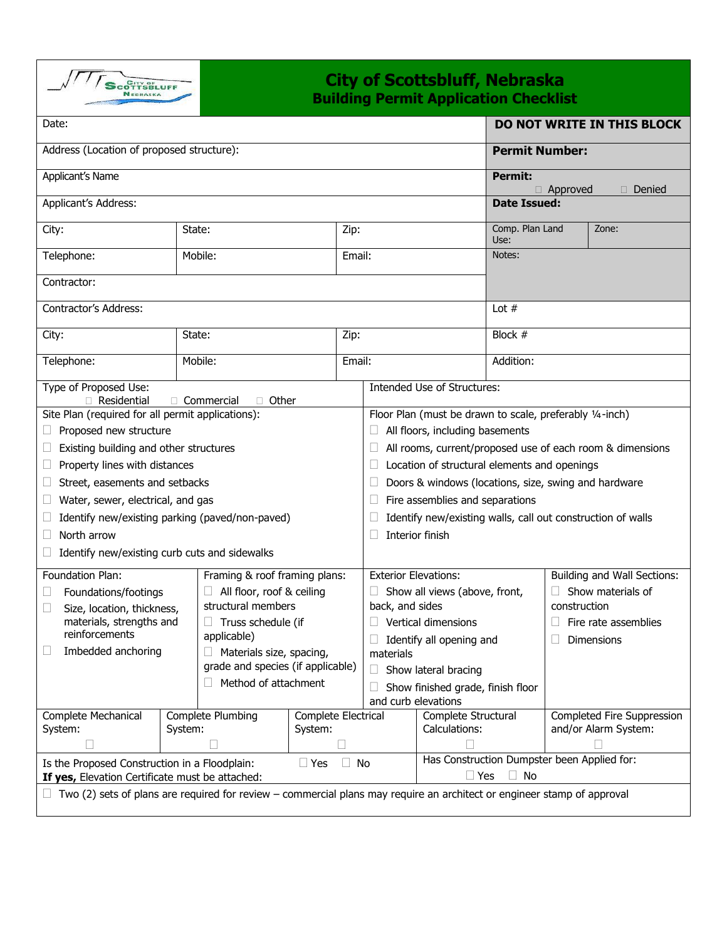

## **City of Scottsbluff, Nebraska Building Permit Application Checklist**

| Date:                                                                                                                          |                                                       |                                                     |                                        |                          |                                                             |                                             |                                  |                                                    | DO NOT WRITE IN THIS BLOCK |
|--------------------------------------------------------------------------------------------------------------------------------|-------------------------------------------------------|-----------------------------------------------------|----------------------------------------|--------------------------|-------------------------------------------------------------|---------------------------------------------|----------------------------------|----------------------------------------------------|----------------------------|
| Address (Location of proposed structure):                                                                                      |                                                       |                                                     |                                        |                          |                                                             | <b>Permit Number:</b>                       |                                  |                                                    |                            |
| Applicant's Name                                                                                                               |                                                       |                                                     |                                        |                          |                                                             | <b>Permit:</b><br>$\Box$ Approved<br>Denied |                                  |                                                    |                            |
| Applicant's Address:                                                                                                           |                                                       |                                                     |                                        |                          |                                                             | <b>Date Issued:</b>                         |                                  |                                                    |                            |
| City:                                                                                                                          |                                                       | State:<br>Zip:                                      |                                        |                          |                                                             |                                             | Comp. Plan Land<br>Zone:<br>Use: |                                                    |                            |
| Telephone:                                                                                                                     |                                                       | Mobile:<br>Email:                                   |                                        |                          | Notes:                                                      |                                             |                                  |                                                    |                            |
| Contractor:                                                                                                                    |                                                       |                                                     |                                        |                          |                                                             |                                             |                                  |                                                    |                            |
| Contractor's Address:                                                                                                          |                                                       |                                                     |                                        |                          |                                                             | Lot $#$                                     |                                  |                                                    |                            |
| City:                                                                                                                          |                                                       | State:                                              |                                        | Zip:                     |                                                             |                                             | Block $#$                        |                                                    |                            |
| Telephone:                                                                                                                     |                                                       | Mobile:                                             |                                        | Email:                   |                                                             |                                             | Addition:                        |                                                    |                            |
| Type of Proposed Use:<br>$\Box$ Residential<br>Other<br>$\Box$ Commercial<br>$\Box$                                            |                                                       |                                                     |                                        |                          | Intended Use of Structures:                                 |                                             |                                  |                                                    |                            |
| Site Plan (required for all permit applications):                                                                              |                                                       |                                                     |                                        |                          | Floor Plan (must be drawn to scale, preferably 1/4-inch)    |                                             |                                  |                                                    |                            |
| Proposed new structure<br>u                                                                                                    |                                                       |                                                     |                                        |                          | All floors, including basements                             |                                             |                                  |                                                    |                            |
| Existing building and other structures<br>Ш                                                                                    |                                                       |                                                     |                                        |                          | All rooms, current/proposed use of each room & dimensions   |                                             |                                  |                                                    |                            |
| Property lines with distances<br>$\Box$                                                                                        |                                                       |                                                     |                                        |                          | Location of structural elements and openings<br>⊔           |                                             |                                  |                                                    |                            |
|                                                                                                                                |                                                       |                                                     |                                        |                          |                                                             |                                             |                                  |                                                    |                            |
| Street, easements and setbacks<br>u                                                                                            |                                                       |                                                     |                                        |                          | Doors & windows (locations, size, swing and hardware        |                                             |                                  |                                                    |                            |
| Water, sewer, electrical, and gas<br>Ц                                                                                         |                                                       |                                                     |                                        |                          | Fire assemblies and separations<br>⊔                        |                                             |                                  |                                                    |                            |
| Identify new/existing parking (paved/non-paved)<br>$\Box$                                                                      |                                                       |                                                     |                                        |                          | Identify new/existing walls, call out construction of walls |                                             |                                  |                                                    |                            |
| North arrow<br>$\Box$                                                                                                          |                                                       |                                                     |                                        |                          | Interior finish                                             |                                             |                                  |                                                    |                            |
| Identify new/existing curb cuts and sidewalks<br>$\Box$                                                                        |                                                       |                                                     |                                        |                          |                                                             |                                             |                                  |                                                    |                            |
| Foundation Plan:                                                                                                               | Framing & roof framing plans:                         |                                                     |                                        |                          | <b>Exterior Elevations:</b>                                 |                                             | Building and Wall Sections:      |                                                    |                            |
| Foundations/footings<br>$\Box$                                                                                                 | All floor, roof & ceiling                             |                                                     |                                        |                          | Show all views (above, front,                               |                                             |                                  |                                                    | Show materials of          |
| □<br>Size, location, thickness,                                                                                                |                                                       | structural members                                  |                                        |                          | back, and sides                                             |                                             |                                  | construction                                       |                            |
| materials, strengths and                                                                                                       |                                                       | Truss schedule (if                                  |                                        |                          | Vertical dimensions                                         |                                             |                                  |                                                    | Fire rate assemblies       |
| reinforcements                                                                                                                 |                                                       | applicable)                                         |                                        | Identify all opening and |                                                             |                                             | <b>Dimensions</b>                |                                                    |                            |
|                                                                                                                                | Imbedded anchoring<br>$\Box$ Materials size, spacing, |                                                     |                                        | materials                |                                                             |                                             |                                  |                                                    |                            |
| grade and species (if applicable)                                                                                              |                                                       |                                                     | Show lateral bracing                   |                          |                                                             |                                             |                                  |                                                    |                            |
| Method of attachment                                                                                                           |                                                       |                                                     | Show finished grade, finish floor<br>П |                          |                                                             |                                             |                                  |                                                    |                            |
|                                                                                                                                |                                                       |                                                     |                                        |                          | and curb elevations                                         |                                             |                                  |                                                    |                            |
| Complete Mechanical<br>System:                                                                                                 | System:                                               | Complete Plumbing<br>Complete Electrical<br>System: |                                        |                          | Complete Structural<br>Calculations:                        |                                             |                                  | Completed Fire Suppression<br>and/or Alarm System: |                            |
|                                                                                                                                |                                                       |                                                     |                                        |                          |                                                             |                                             |                                  |                                                    |                            |
| Is the Proposed Construction in a Floodplain:<br>No<br>$\Box$ Yes                                                              |                                                       |                                                     |                                        |                          | Has Construction Dumpster been Applied for:                 |                                             |                                  |                                                    |                            |
| If yes, Elevation Certificate must be attached:                                                                                |                                                       |                                                     |                                        |                          | $\Box$ Yes<br>$\Box$ No                                     |                                             |                                  |                                                    |                            |
| $\Box$ Two (2) sets of plans are required for review – commercial plans may require an architect or engineer stamp of approval |                                                       |                                                     |                                        |                          |                                                             |                                             |                                  |                                                    |                            |